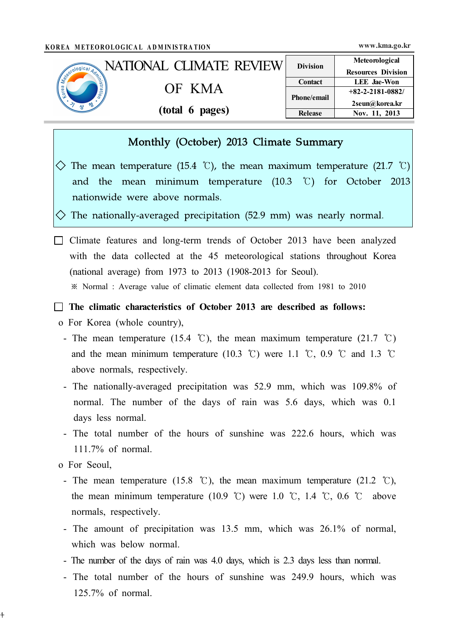| KOREA METEOROLOGICAL ADMINISTRATION                                                                 |                         |                 | www.kma.go.kr             |
|-----------------------------------------------------------------------------------------------------|-------------------------|-----------------|---------------------------|
|                                                                                                     | NATIONAL CLIMATE REVIEW | <b>Division</b> | Meteorological            |
| Leonological Administration<br>$\omega_{0\mu}$<br>$\overline{\mathbf{G}}$<br>Lote<br>$\tau_{\rm o}$ |                         |                 | <b>Resources Division</b> |
|                                                                                                     | OF KMA                  | <b>Contact</b>  | <b>LEE</b> Jae-Won        |
|                                                                                                     |                         |                 | $+82-2-2181-0882/$        |
|                                                                                                     |                         | Phone/email     | 2seun@korea.kr            |
|                                                                                                     | (total 6 pages)         | <b>Release</b>  | Nov. 11, 2013             |

## Monthly (October) 2013 Climate Summary

 $\Diamond$  The mean temperature (15.4 °C), the mean maximum temperature (21.7 °C) and the mean minimum temperature (10.3 ℃) for October 2013 nationwide were above normals.

 $\Diamond$  The nationally-averaged precipitation (52.9 mm) was nearly normal.

 $\Box$  Climate features and long-term trends of October 2013 have been analyzed with the data collected at the 45 meteorological stations throughout Korea (national average) from 1973 to 2013 (1908-2013 for Seoul). ※ Normal : Average value of climatic element data collected from 1981 to 2010

 $\Box$  The climatic characteristics of October 2013 are described as follows:

- o For Korea (whole country),
	- The mean temperature (15.4 °C), the mean maximum temperature (21.7 °C) and the mean minimum temperature (10.3 °C) were 1.1 °C, 0.9 °C and 1.3 °C above normals, respectively.
	- The nationally-averaged precipitation was 52.9 mm, which was 109.8% of normal. The number of the days of rain was 5.6 days, which was 0.1 days less normal.
	- The total number of the hours of sunshine was 222.6 hours, which was 111.7% of normal.
- o For Seoul,

 $\ddagger$ 

- The mean temperature (15.8 °C), the mean maximum temperature (21.2 °C), the mean minimum temperature (10.9 °C) were 1.0 °C, 1.4 °C, 0.6 °C above normals, respectively.
- The amount of precipitation was 13.5 mm, which was 26.1% of normal, which was below normal.
- The number of the days of rain was 4.0 days, which is 2.3 days less than normal.
- The total number of the hours of sunshine was 249.9 hours, which was 125.7% of normal.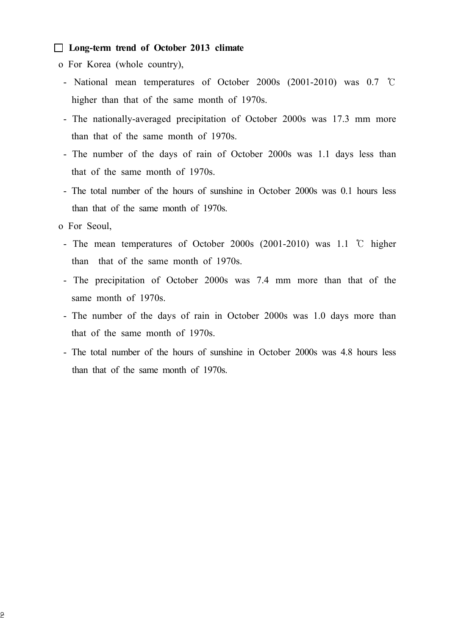#### □ Long-term trend of October 2013 climate

- o For Korea (whole country),
	- National mean temperatures of October 2000s (2001-2010) was 0.7 ℃ higher than that of the same month of 1970s.
	- The nationally-averaged precipitation of October 2000s was 17.3 mm more than that of the same month of 1970s.
	- The number of the days of rain of October 2000s was 1.1 days less than that of the same month of 1970s.
	- The total number of the hours of sunshine in October 2000s was 0.1 hours less than that of the same month of 1970s.
- o For Seoul,
	- The mean temperatures of October 2000s (2001-2010) was 1.1 ℃ higher than that of the same month of 1970s.
	- The precipitation of October 2000s was 7.4 mm more than that of the same month of 1970s.
	- The number of the days of rain in October 2000s was 1.0 days more than that of the same month of 1970s.
	- The total number of the hours of sunshine in October 2000s was 4.8 hours less than that of the same month of 1970s.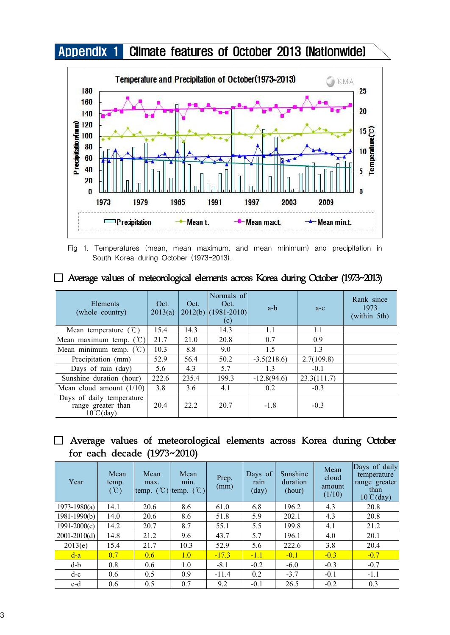



Fig 1. Temperatures (mean, mean maximum, and mean minimum) and precipitation in South Korea during October (1973-2013).

| Elements<br>(whole country)                                            | Oct.<br>2013(a) | Oct.  | Normals of<br>Oct.<br>$2012(b)$ (1981-2010)<br>(c) | a-b           | $a-c$       | Rank since<br>1973<br>(within 5th) |
|------------------------------------------------------------------------|-----------------|-------|----------------------------------------------------|---------------|-------------|------------------------------------|
| Mean temperature $(\mathcal{C})$                                       | 15.4            | 14.3  | 14.3                                               | 1.1           | 1.1         |                                    |
| Mean maximum temp. $({\degree}C)$                                      | 21.7            | 21.0  | 20.8                                               | 0.7           | 0.9         |                                    |
| Mean minimum temp. $({\degree}C)$                                      | 10.3            | 8.8   | 9.0                                                | 1.5           | 1.3         |                                    |
| Precipitation (mm)                                                     | 52.9            | 56.4  | 50.2                                               | $-3.5(218.6)$ | 2.7(109.8)  |                                    |
| Days of rain (day)                                                     | 5.6             | 4.3   | 5.7                                                | 1.3           | $-0.1$      |                                    |
| Sunshine duration (hour)                                               | 222.6           | 235.4 | 199.3                                              | $-12.8(94.6)$ | 23.3(111.7) |                                    |
| Mean cloud amount $(1/10)$                                             | 3.8             | 3.6   | 4.1                                                | 0.2           | $-0.3$      |                                    |
| Days of daily temperature<br>range greater than<br>$10^{\circ}$ C(day) | 20.4            | 22.2  | 20.7                                               | $-1.8$        | $-0.3$      |                                    |

□ Average values of meteorological elements across Korea during October (1973~2013)

### □ Average values of meteorological elements across Korea during October for each decade (1973~2010)

| Year             | Mean<br>temp.<br>$(\mathcal{C})$ | Mean<br>max. | Mean<br>min.<br>temp. $({\cal C})$ temp. $({\cal C})$ | Prep.<br>(mm) | Days of<br>rain<br>$\text{(day)}$ | Sunshine<br>duration<br>(hour) | Mean<br>cloud<br>amount<br>(1/10) | Days of daily<br>temperature<br>range greater<br>than<br>$10^{\circ}$ C(day) |
|------------------|----------------------------------|--------------|-------------------------------------------------------|---------------|-----------------------------------|--------------------------------|-----------------------------------|------------------------------------------------------------------------------|
| $1973 - 1980(a)$ | 14.1                             | 20.6         | 8.6                                                   | 61.0          | 6.8                               | 196.2                          | 4.3                               | 20.8                                                                         |
| $1981 - 1990(b)$ | 14.0                             | 20.6         | 8.6                                                   | 51.8          | 5.9                               | 202.1                          | 4.3                               | 20.8                                                                         |
| $1991 - 2000(c)$ | 14.2                             | 20.7         | 8.7                                                   | 55.1          | 5.5                               | 199.8                          | 4.1                               | 21.2                                                                         |
| $2001 - 2010(d)$ | 14.8                             | 21.2         | 9.6                                                   | 43.7          | 5.7                               | 196.1                          | 4.0                               | 20.1                                                                         |
| 2013(e)          | 15.4                             | 21.7         | 10.3                                                  | 52.9          | 5.6                               | 222.6                          | 3.8                               | 20.4                                                                         |
| $d-a$            | 0.7                              | 0.6          | 1.0                                                   | $-17.3$       | $-1.1$                            | $-0.1$                         | $-0.3$                            | $-0.7$                                                                       |
| $d-b$            | 0.8                              | 0.6          | 1.0                                                   | $-8.1$        | $-0.2$                            | $-6.0$                         | $-0.3$                            | $-0.7$                                                                       |
| $d-c$            | 0.6                              | 0.5          | 0.9                                                   | $-11.4$       | 0.2                               | $-3.7$                         | $-0.1$                            | $-1.1$                                                                       |
| e-d              | 0.6                              | 0.5          | 0.7                                                   | 9.2           | $-0.1$                            | 26.5                           | $-0.2$                            | 0.3                                                                          |